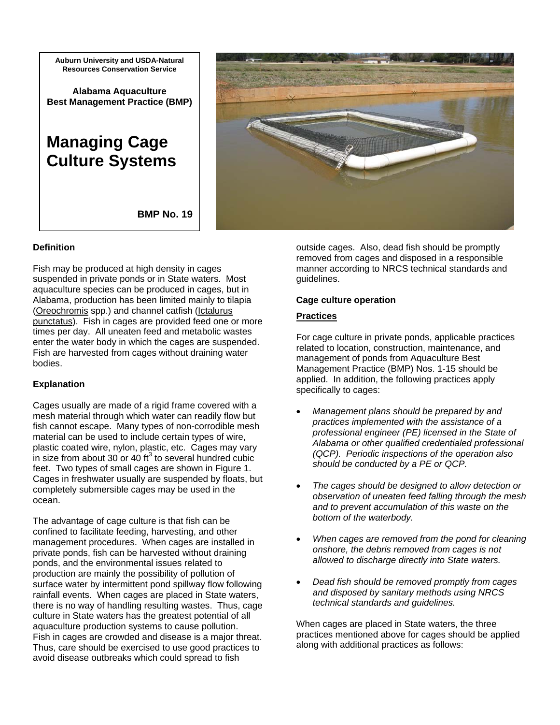**Auburn University and USDA-Natural Resources Conservation Service**

**Alabama Aquaculture Best Management Practice (BMP)** 

# **Managing Cage Culture Systems**



**BMP No. 19** 

## **Definition**

Fish may be produced at high density in cages suspended in private ponds or in State waters. Most aquaculture species can be produced in cages, but in Alabama, production has been limited mainly to tilapia (Oreochromis spp.) and channel catfish (Ictalurus punctatus). Fish in cages are provided feed one or more times per day. All uneaten feed and metabolic wastes enter the water body in which the cages are suspended. Fish are harvested from cages without draining water bodies.

## **Explanation**

Cages usually are made of a rigid frame covered with a mesh material through which water can readily flow but fish cannot escape. Many types of non-corrodible mesh material can be used to include certain types of wire, plastic coated wire, nylon, plastic, etc. Cages may vary in size from about 30 or 40  $\text{ft}^3$  to several hundred cubic feet. Two types of small cages are shown in Figure 1. Cages in freshwater usually are suspended by floats, but completely submersible cages may be used in the ocean.

The advantage of cage culture is that fish can be confined to facilitate feeding, harvesting, and other management procedures. When cages are installed in private ponds, fish can be harvested without draining ponds, and the environmental issues related to production are mainly the possibility of pollution of surface water by intermittent pond spillway flow following rainfall events. When cages are placed in State waters, there is no way of handling resulting wastes. Thus, cage culture in State waters has the greatest potential of all aquaculture production systems to cause pollution. Fish in cages are crowded and disease is a major threat. Thus, care should be exercised to use good practices to avoid disease outbreaks which could spread to fish

outside cages. Also, dead fish should be promptly removed from cages and disposed in a responsible manner according to NRCS technical standards and guidelines.

## **Cage culture operation**

## **Practices**

For cage culture in private ponds, applicable practices related to location, construction, maintenance, and management of ponds from Aquaculture Best Management Practice (BMP) Nos. 1-15 should be applied. In addition, the following practices apply specifically to cages:

- *Management plans should be prepared by and practices implemented with the assistance of a professional engineer (PE) licensed in the State of Alabama or other qualified credentialed professional (QCP). Periodic inspections of the operation also should be conducted by a PE or QCP.*
- *The cages should be designed to allow detection or observation of uneaten feed falling through the mesh and to prevent accumulation of this waste on the bottom of the waterbody.*
- *When cages are removed from the pond for cleaning onshore, the debris removed from cages is not allowed to discharge directly into State waters.*
- *Dead fish should be removed promptly from cages and disposed by sanitary methods using NRCS technical standards and guidelines.*

When cages are placed in State waters, the three practices mentioned above for cages should be applied along with additional practices as follows: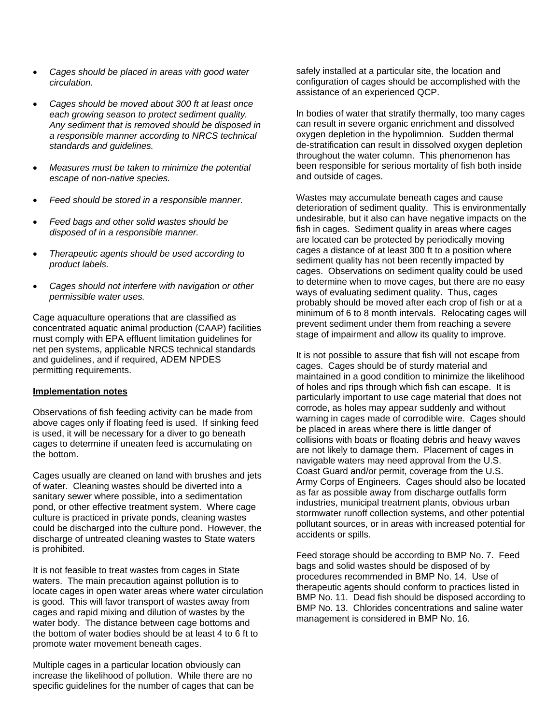- *Cages should be placed in areas with good water circulation.*
- *Cages should be moved about 300 ft at least once each growing season to protect sediment quality. Any sediment that is removed should be disposed in a responsible manner according to NRCS technical standards and guidelines.*
- *Measures must be taken to minimize the potential escape of non-native species.*
- *Feed should be stored in a responsible manner.*
- *Feed bags and other solid wastes should be disposed of in a responsible manner.*
- *Therapeutic agents should be used according to product labels.*
- *Cages should not interfere with navigation or other permissible water uses.*

Cage aquaculture operations that are classified as concentrated aquatic animal production (CAAP) facilities must comply with EPA effluent limitation guidelines for net pen systems, applicable NRCS technical standards and guidelines, and if required, ADEM NPDES permitting requirements.

## **Implementation notes**

Observations of fish feeding activity can be made from above cages only if floating feed is used. If sinking feed is used, it will be necessary for a diver to go beneath cages to determine if uneaten feed is accumulating on the bottom.

Cages usually are cleaned on land with brushes and jets of water. Cleaning wastes should be diverted into a sanitary sewer where possible, into a sedimentation pond, or other effective treatment system. Where cage culture is practiced in private ponds, cleaning wastes could be discharged into the culture pond. However, the discharge of untreated cleaning wastes to State waters is prohibited.

It is not feasible to treat wastes from cages in State waters. The main precaution against pollution is to locate cages in open water areas where water circulation is good. This will favor transport of wastes away from cages and rapid mixing and dilution of wastes by the water body. The distance between cage bottoms and the bottom of water bodies should be at least 4 to 6 ft to promote water movement beneath cages.

Multiple cages in a particular location obviously can increase the likelihood of pollution. While there are no specific guidelines for the number of cages that can be safely installed at a particular site, the location and configuration of cages should be accomplished with the assistance of an experienced QCP.

In bodies of water that stratify thermally, too many cages can result in severe organic enrichment and dissolved oxygen depletion in the hypolimnion. Sudden thermal de-stratification can result in dissolved oxygen depletion throughout the water column. This phenomenon has been responsible for serious mortality of fish both inside and outside of cages.

Wastes may accumulate beneath cages and cause deterioration of sediment quality. This is environmentally undesirable, but it also can have negative impacts on the fish in cages. Sediment quality in areas where cages are located can be protected by periodically moving cages a distance of at least 300 ft to a position where sediment quality has not been recently impacted by cages. Observations on sediment quality could be used to determine when to move cages, but there are no easy ways of evaluating sediment quality. Thus, cages probably should be moved after each crop of fish or at a minimum of 6 to 8 month intervals. Relocating cages will prevent sediment under them from reaching a severe stage of impairment and allow its quality to improve.

It is not possible to assure that fish will not escape from cages. Cages should be of sturdy material and maintained in a good condition to minimize the likelihood of holes and rips through which fish can escape. It is particularly important to use cage material that does not corrode, as holes may appear suddenly and without warning in cages made of corrodible wire. Cages should be placed in areas where there is little danger of collisions with boats or floating debris and heavy waves are not likely to damage them. Placement of cages in navigable waters may need approval from the U.S. Coast Guard and/or permit, coverage from the U.S. Army Corps of Engineers. Cages should also be located as far as possible away from discharge outfalls form industries, municipal treatment plants, obvious urban stormwater runoff collection systems, and other potential pollutant sources, or in areas with increased potential for accidents or spills.

Feed storage should be according to BMP No. 7. Feed bags and solid wastes should be disposed of by procedures recommended in BMP No. 14. Use of therapeutic agents should conform to practices listed in BMP No. 11. Dead fish should be disposed according to BMP No. 13. Chlorides concentrations and saline water management is considered in BMP No. 16.